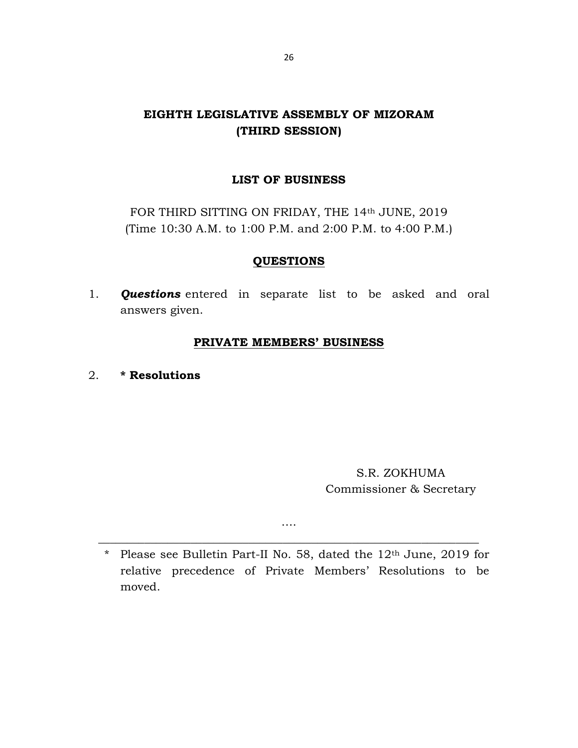# EIGHTH LEGISLATIVE ASSEMBLY OF MIZORAM (THIRD SESSION)

# LIST OF BUSINESS

FOR THIRD SITTING ON FRIDAY, THE 14th JUNE, 2019 (Time 10:30 A.M. to 1:00 P.M. and 2:00 P.M. to 4:00 P.M.)

# **QUESTIONS**

1. **Questions** entered in separate list to be asked and oral answers given.

## PRIVATE MEMBERS' BUSINESS

2. \* Resolutions

S.R. ZOKHUMA Commissioner & Secretary

\* Please see Bulletin Part-II No. 58, dated the 12th June, 2019 for relative precedence of Private Members' Resolutions to be moved.

….  $\overline{a_1}$  ,  $\overline{a_2}$  ,  $\overline{a_3}$  ,  $\overline{a_4}$  ,  $\overline{a_5}$  ,  $\overline{a_6}$  ,  $\overline{a_7}$  ,  $\overline{a_8}$  ,  $\overline{a_9}$  ,  $\overline{a_9}$  ,  $\overline{a_9}$  ,  $\overline{a_9}$  ,  $\overline{a_9}$  ,  $\overline{a_9}$  ,  $\overline{a_9}$  ,  $\overline{a_9}$  ,  $\overline{a_9}$  ,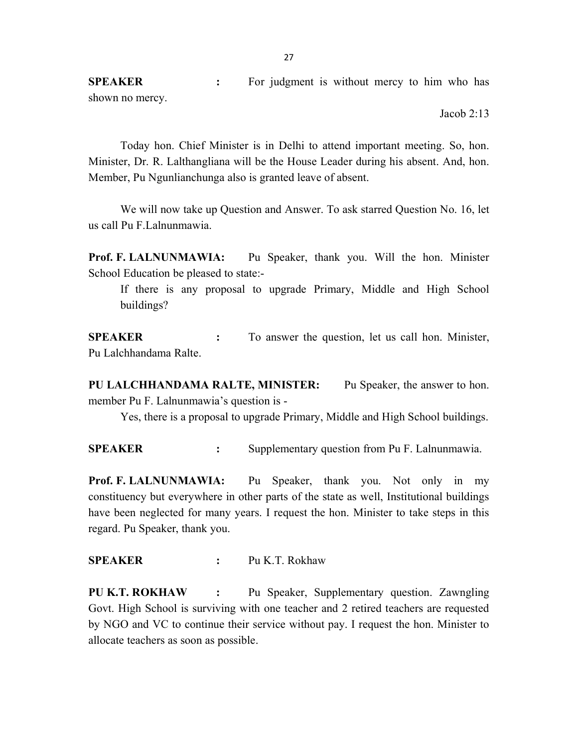SPEAKER : For judgment is without mercy to him who has shown no mercy.

Jacob 2:13

 Today hon. Chief Minister is in Delhi to attend important meeting. So, hon. Minister, Dr. R. Lalthangliana will be the House Leader during his absent. And, hon. Member, Pu Ngunlianchunga also is granted leave of absent.

 We will now take up Question and Answer. To ask starred Question No. 16, let us call Pu F.Lalnunmawia.

Prof. F. LALNUNMAWIA: Pu Speaker, thank you. Will the hon. Minister School Education be pleased to state:-

 If there is any proposal to upgrade Primary, Middle and High School buildings?

SPEAKER : To answer the question, let us call hon. Minister, Pu Lalchhandama Ralte.

PU LALCHHANDAMA RALTE, MINISTER: Pu Speaker, the answer to hon. member Pu F. Lalnunmawia's question is -

Yes, there is a proposal to upgrade Primary, Middle and High School buildings.

SPEAKER : Supplementary question from Pu F. Lalnunmawia.

Prof. F. LALNUNMAWIA: Pu Speaker, thank you. Not only in my constituency but everywhere in other parts of the state as well, Institutional buildings have been neglected for many years. I request the hon. Minister to take steps in this regard. Pu Speaker, thank you.

SPEAKER : Pu K.T. Rokhaw

PU K.T. ROKHAW : Pu Speaker, Supplementary question. Zawngling Govt. High School is surviving with one teacher and 2 retired teachers are requested by NGO and VC to continue their service without pay. I request the hon. Minister to allocate teachers as soon as possible.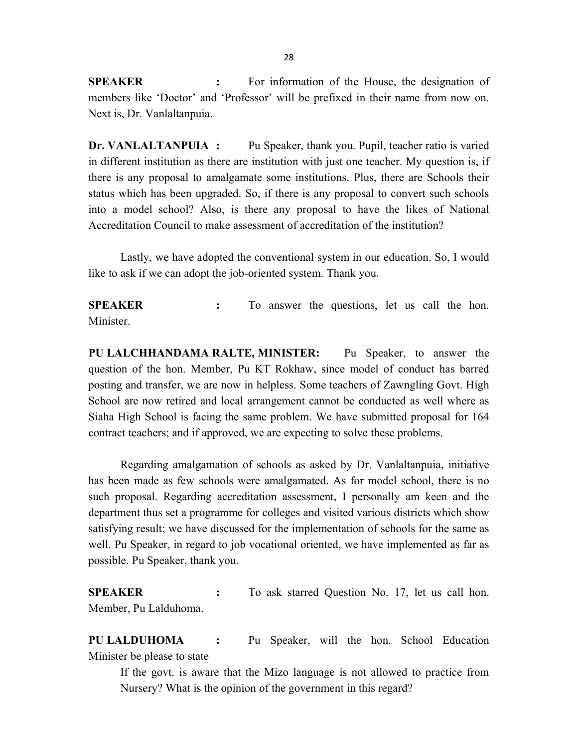SPEAKER : For information of the House, the designation of members like 'Doctor' and 'Professor' will be prefixed in their name from now on. Next is, Dr. Vanlaltanpuia.

Dr. VANLALTANPUIA : Pu Speaker, thank you. Pupil, teacher ratio is varied in different institution as there are institution with just one teacher. My question is, if there is any proposal to amalgamate some institutions. Plus, there are Schools their status which has been upgraded. So, if there is any proposal to convert such schools into a model school? Also, is there any proposal to have the likes of National Accreditation Council to make assessment of accreditation of the institution?

 Lastly, we have adopted the conventional system in our education. So, I would like to ask if we can adopt the job-oriented system. Thank you.

SPEAKER : To answer the questions, let us call the hon. Minister.

PU LALCHHANDAMA RALTE, MINISTER: Pu Speaker, to answer the question of the hon. Member, Pu KT Rokhaw, since model of conduct has barred posting and transfer, we are now in helpless. Some teachers of Zawngling Govt. High School are now retired and local arrangement cannot be conducted as well where as Siaha High School is facing the same problem. We have submitted proposal for 164 contract teachers; and if approved, we are expecting to solve these problems.

 Regarding amalgamation of schools as asked by Dr. Vanlaltanpuia, initiative has been made as few schools were amalgamated. As for model school, there is no such proposal. Regarding accreditation assessment, I personally am keen and the department thus set a programme for colleges and visited various districts which show satisfying result; we have discussed for the implementation of schools for the same as well. Pu Speaker, in regard to job vocational oriented, we have implemented as far as possible. Pu Speaker, thank you.

SPEAKER : To ask starred Question No. 17, let us call hon. Member, Pu Lalduhoma.

PU LALDUHOMA : Pu Speaker, will the hon. School Education Minister be please to state –

 If the govt. is aware that the Mizo language is not allowed to practice from Nursery? What is the opinion of the government in this regard?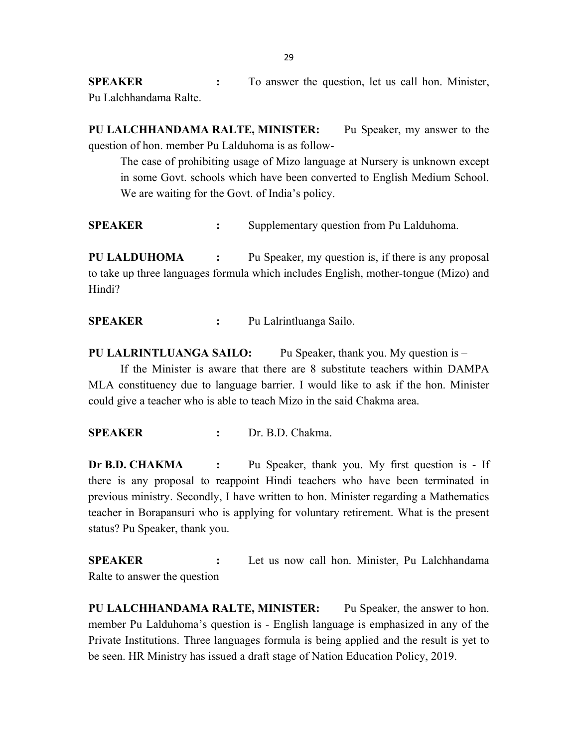SPEAKER : To answer the question, let us call hon. Minister, Pu Lalchhandama Ralte.

PU LALCHHANDAMA RALTE, MINISTER: Pu Speaker, my answer to the question of hon. member Pu Lalduhoma is as follow-

 The case of prohibiting usage of Mizo language at Nursery is unknown except in some Govt. schools which have been converted to English Medium School. We are waiting for the Govt. of India's policy.

SPEAKER : Supplementary question from Pu Lalduhoma.

PU LALDUHOMA : Pu Speaker, my question is, if there is any proposal to take up three languages formula which includes English, mother-tongue (Mizo) and Hindi?

SPEAKER : Pu Lalrintluanga Sailo.

**PU LALRINTLUANGA SAILO:** Pu Speaker, thank you. My question is  $-$  If the Minister is aware that there are 8 substitute teachers within DAMPA MLA constituency due to language barrier. I would like to ask if the hon. Minister could give a teacher who is able to teach Mizo in the said Chakma area.

SPEAKER : Dr. B.D. Chakma.

Dr B.D. CHAKMA : Pu Speaker, thank you. My first question is - If there is any proposal to reappoint Hindi teachers who have been terminated in previous ministry. Secondly, I have written to hon. Minister regarding a Mathematics teacher in Borapansuri who is applying for voluntary retirement. What is the present status? Pu Speaker, thank you.

SPEAKER : Let us now call hon. Minister, Pu Lalchhandama Ralte to answer the question

PU LALCHHANDAMA RALTE, MINISTER: Pu Speaker, the answer to hon. member Pu Lalduhoma's question is - English language is emphasized in any of the Private Institutions. Three languages formula is being applied and the result is yet to be seen. HR Ministry has issued a draft stage of Nation Education Policy, 2019.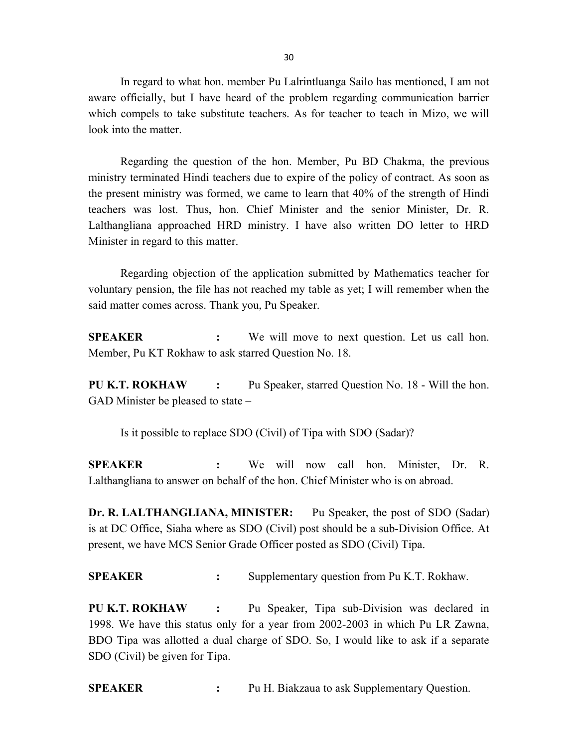In regard to what hon. member Pu Lalrintluanga Sailo has mentioned, I am not aware officially, but I have heard of the problem regarding communication barrier which compels to take substitute teachers. As for teacher to teach in Mizo, we will look into the matter.

Regarding the question of the hon. Member, Pu BD Chakma, the previous ministry terminated Hindi teachers due to expire of the policy of contract. As soon as the present ministry was formed, we came to learn that 40% of the strength of Hindi teachers was lost. Thus, hon. Chief Minister and the senior Minister, Dr. R. Lalthangliana approached HRD ministry. I have also written DO letter to HRD Minister in regard to this matter.

Regarding objection of the application submitted by Mathematics teacher for voluntary pension, the file has not reached my table as yet; I will remember when the said matter comes across. Thank you, Pu Speaker.

SPEAKER : We will move to next question. Let us call hon. Member, Pu KT Rokhaw to ask starred Question No. 18.

PU K.T. ROKHAW : Pu Speaker, starred Question No. 18 - Will the hon. GAD Minister be pleased to state –

Is it possible to replace SDO (Civil) of Tipa with SDO (Sadar)?

SPEAKER : We will now call hon. Minister, Dr. R. Lalthangliana to answer on behalf of the hon. Chief Minister who is on abroad.

Dr. R. LALTHANGLIANA, MINISTER: Pu Speaker, the post of SDO (Sadar) is at DC Office, Siaha where as SDO (Civil) post should be a sub-Division Office. At present, we have MCS Senior Grade Officer posted as SDO (Civil) Tipa.

SPEAKER : Supplementary question from Pu K.T. Rokhaw.

PU K.T. ROKHAW : Pu Speaker, Tipa sub-Division was declared in 1998. We have this status only for a year from 2002-2003 in which Pu LR Zawna, BDO Tipa was allotted a dual charge of SDO. So, I would like to ask if a separate SDO (Civil) be given for Tipa.

SPEAKER : Pu H. Biakzaua to ask Supplementary Question.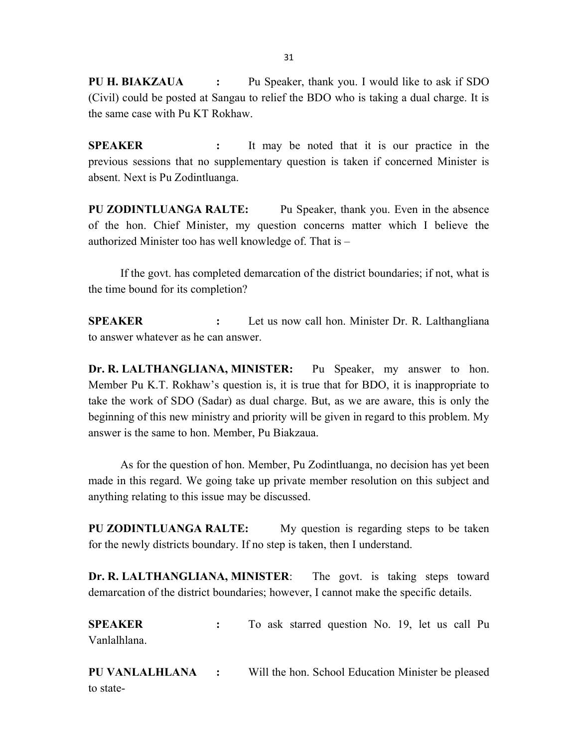PU H. BIAKZAUA : Pu Speaker, thank you. I would like to ask if SDO (Civil) could be posted at Sangau to relief the BDO who is taking a dual charge. It is the same case with Pu KT Rokhaw.

SPEAKER : It may be noted that it is our practice in the previous sessions that no supplementary question is taken if concerned Minister is absent. Next is Pu Zodintluanga.

PU ZODINTLUANGA RALTE: Pu Speaker, thank you. Even in the absence of the hon. Chief Minister, my question concerns matter which I believe the authorized Minister too has well knowledge of. That is –

 If the govt. has completed demarcation of the district boundaries; if not, what is the time bound for its completion?

SPEAKER : Let us now call hon. Minister Dr. R. Lalthangliana to answer whatever as he can answer.

Dr. R. LALTHANGLIANA, MINISTER: Pu Speaker, my answer to hon. Member Pu K.T. Rokhaw's question is, it is true that for BDO, it is inappropriate to take the work of SDO (Sadar) as dual charge. But, as we are aware, this is only the beginning of this new ministry and priority will be given in regard to this problem. My answer is the same to hon. Member, Pu Biakzaua.

As for the question of hon. Member, Pu Zodintluanga, no decision has yet been made in this regard. We going take up private member resolution on this subject and anything relating to this issue may be discussed.

PU ZODINTLUANGA RALTE: My question is regarding steps to be taken for the newly districts boundary. If no step is taken, then I understand.

Dr. R. LALTHANGLIANA, MINISTER: The govt. is taking steps toward demarcation of the district boundaries; however, I cannot make the specific details.

SPEAKER : To ask starred question No. 19, let us call Pu Vanlalhlana.

PU VANLALHLANA : Will the hon. School Education Minister be pleased to state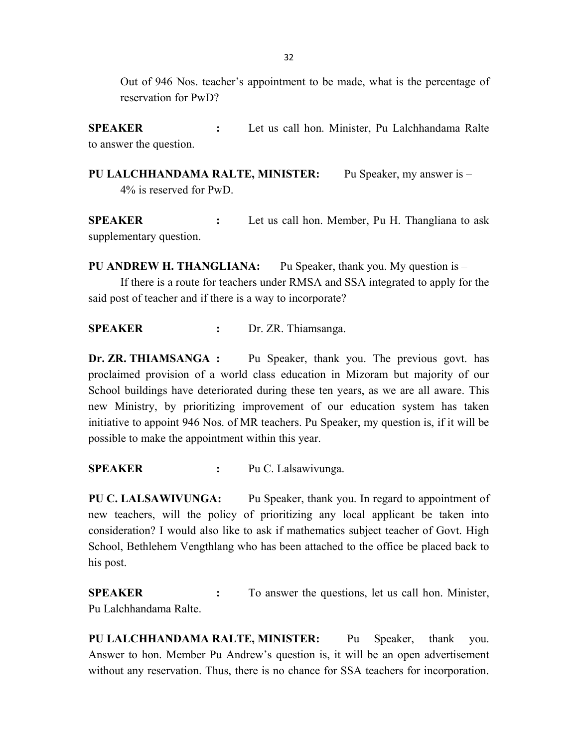Out of 946 Nos. teacher's appointment to be made, what is the percentage of reservation for PwD?

SPEAKER : Let us call hon. Minister, Pu Lalchhandama Ralte to answer the question.

PU LALCHHANDAMA RALTE, MINISTER: Pu Speaker, my answer is -4% is reserved for PwD.

SPEAKER : Let us call hon. Member, Pu H. Thangliana to ask supplementary question.

PU ANDREW H. THANGLIANA: Pu Speaker, thank you. My question is – If there is a route for teachers under RMSA and SSA integrated to apply for the said post of teacher and if there is a way to incorporate?

SPEAKER : Dr. ZR. Thiamsanga.

Dr. ZR. THIAMSANGA : Pu Speaker, thank you. The previous govt. has proclaimed provision of a world class education in Mizoram but majority of our School buildings have deteriorated during these ten years, as we are all aware. This new Ministry, by prioritizing improvement of our education system has taken initiative to appoint 946 Nos. of MR teachers. Pu Speaker, my question is, if it will be possible to make the appointment within this year.

SPEAKER : Pu C. Lalsawivunga.

PU C. LALSAWIVUNGA: Pu Speaker, thank you. In regard to appointment of new teachers, will the policy of prioritizing any local applicant be taken into consideration? I would also like to ask if mathematics subject teacher of Govt. High School, Bethlehem Vengthlang who has been attached to the office be placed back to his post.

SPEAKER : To answer the questions, let us call hon. Minister, Pu Lalchhandama Ralte.

PU LALCHHANDAMA RALTE, MINISTER: Pu Speaker, thank you. Answer to hon. Member Pu Andrew's question is, it will be an open advertisement without any reservation. Thus, there is no chance for SSA teachers for incorporation.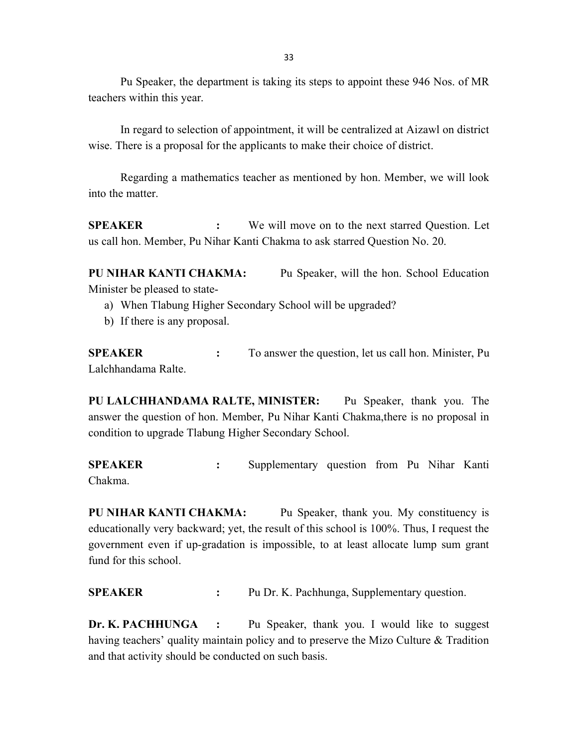Pu Speaker, the department is taking its steps to appoint these 946 Nos. of MR teachers within this year.

 In regard to selection of appointment, it will be centralized at Aizawl on district wise. There is a proposal for the applicants to make their choice of district.

 Regarding a mathematics teacher as mentioned by hon. Member, we will look into the matter.

**SPEAKER** : We will move on to the next starred Question. Let us call hon. Member, Pu Nihar Kanti Chakma to ask starred Question No. 20.

PU NIHAR KANTI CHAKMA: Pu Speaker, will the hon. School Education Minister be pleased to state-

- a) When Tlabung Higher Secondary School will be upgraded?
- b) If there is any proposal.

SPEAKER : To answer the question, let us call hon. Minister, Pu Lalchhandama Ralte.

PU LALCHHANDAMA RALTE, MINISTER: Pu Speaker, thank you. The answer the question of hon. Member, Pu Nihar Kanti Chakma,there is no proposal in condition to upgrade Tlabung Higher Secondary School.

SPEAKER : Supplementary question from Pu Nihar Kanti Chakma.

PU NIHAR KANTI CHAKMA: Pu Speaker, thank you. My constituency is educationally very backward; yet, the result of this school is 100%. Thus, I request the government even if up-gradation is impossible, to at least allocate lump sum grant fund for this school.

SPEAKER : Pu Dr. K. Pachhunga, Supplementary question.

Dr. K. PACHHUNGA : Pu Speaker, thank you. I would like to suggest having teachers' quality maintain policy and to preserve the Mizo Culture & Tradition and that activity should be conducted on such basis.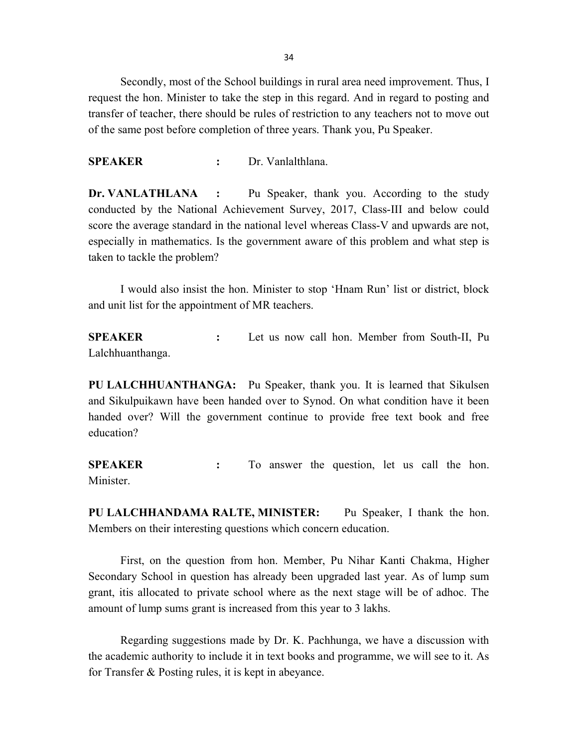34

 Secondly, most of the School buildings in rural area need improvement. Thus, I request the hon. Minister to take the step in this regard. And in regard to posting and transfer of teacher, there should be rules of restriction to any teachers not to move out of the same post before completion of three years. Thank you, Pu Speaker.

SPEAKER : Dr. Vanlalthlana.

Dr. VANLATHLANA : Pu Speaker, thank you. According to the study conducted by the National Achievement Survey, 2017, Class-III and below could score the average standard in the national level whereas Class-V and upwards are not, especially in mathematics. Is the government aware of this problem and what step is taken to tackle the problem?

I would also insist the hon. Minister to stop 'Hnam Run' list or district, block and unit list for the appointment of MR teachers.

SPEAKER : Let us now call hon. Member from South-II, Pu Lalchhuanthanga.

PU LALCHHUANTHANGA: Pu Speaker, thank you. It is learned that Sikulsen and Sikulpuikawn have been handed over to Synod. On what condition have it been handed over? Will the government continue to provide free text book and free education?

SPEAKER : To answer the question, let us call the hon. Minister.

PU LALCHHANDAMA RALTE, MINISTER: Pu Speaker, I thank the hon. Members on their interesting questions which concern education.

 First, on the question from hon. Member, Pu Nihar Kanti Chakma, Higher Secondary School in question has already been upgraded last year. As of lump sum grant, itis allocated to private school where as the next stage will be of adhoc. The amount of lump sums grant is increased from this year to 3 lakhs.

 Regarding suggestions made by Dr. K. Pachhunga, we have a discussion with the academic authority to include it in text books and programme, we will see to it. As for Transfer & Posting rules, it is kept in abeyance.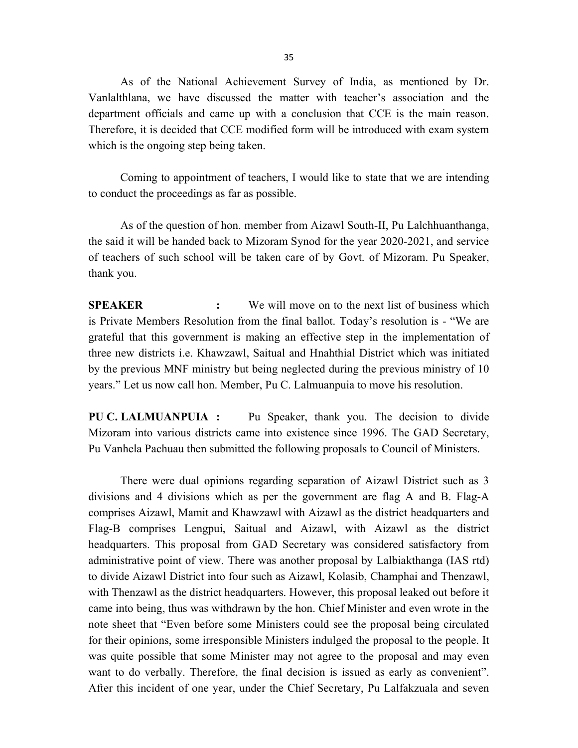As of the National Achievement Survey of India, as mentioned by Dr. Vanlalthlana, we have discussed the matter with teacher's association and the department officials and came up with a conclusion that CCE is the main reason. Therefore, it is decided that CCE modified form will be introduced with exam system which is the ongoing step being taken.

Coming to appointment of teachers, I would like to state that we are intending to conduct the proceedings as far as possible.

As of the question of hon. member from Aizawl South-II, Pu Lalchhuanthanga, the said it will be handed back to Mizoram Synod for the year 2020-2021, and service of teachers of such school will be taken care of by Govt. of Mizoram. Pu Speaker, thank you.

**SPEAKER** : We will move on to the next list of business which is Private Members Resolution from the final ballot. Today's resolution is - "We are grateful that this government is making an effective step in the implementation of three new districts i.e. Khawzawl, Saitual and Hnahthial District which was initiated by the previous MNF ministry but being neglected during the previous ministry of 10 years." Let us now call hon. Member, Pu C. Lalmuanpuia to move his resolution.

PU C. LALMUANPUIA : Pu Speaker, thank you. The decision to divide Mizoram into various districts came into existence since 1996. The GAD Secretary, Pu Vanhela Pachuau then submitted the following proposals to Council of Ministers.

There were dual opinions regarding separation of Aizawl District such as 3 divisions and 4 divisions which as per the government are flag A and B. Flag-A comprises Aizawl, Mamit and Khawzawl with Aizawl as the district headquarters and Flag-B comprises Lengpui, Saitual and Aizawl, with Aizawl as the district headquarters. This proposal from GAD Secretary was considered satisfactory from administrative point of view. There was another proposal by Lalbiakthanga (IAS rtd) to divide Aizawl District into four such as Aizawl, Kolasib, Champhai and Thenzawl, with Thenzawl as the district headquarters. However, this proposal leaked out before it came into being, thus was withdrawn by the hon. Chief Minister and even wrote in the note sheet that "Even before some Ministers could see the proposal being circulated for their opinions, some irresponsible Ministers indulged the proposal to the people. It was quite possible that some Minister may not agree to the proposal and may even want to do verbally. Therefore, the final decision is issued as early as convenient". After this incident of one year, under the Chief Secretary, Pu Lalfakzuala and seven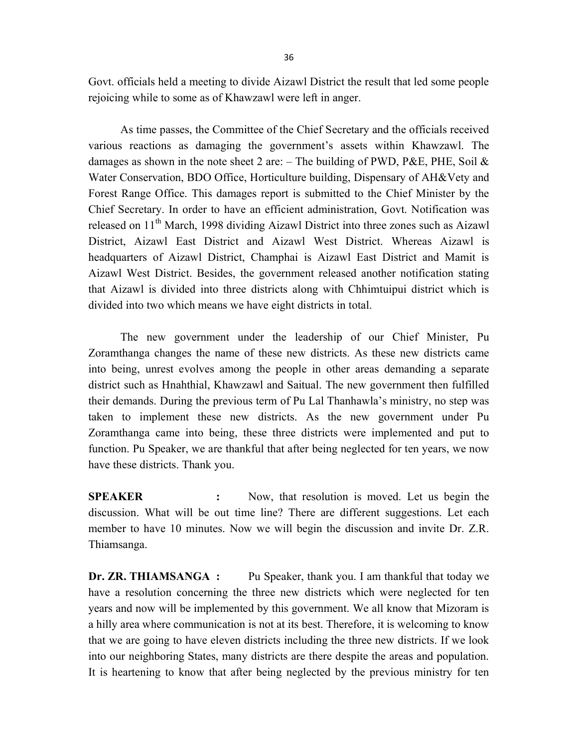Govt. officials held a meeting to divide Aizawl District the result that led some people rejoicing while to some as of Khawzawl were left in anger.

 As time passes, the Committee of the Chief Secretary and the officials received various reactions as damaging the government's assets within Khawzawl. The damages as shown in the note sheet 2 are:  $-$  The building of PWD, P&E, PHE, Soil & Water Conservation, BDO Office, Horticulture building, Dispensary of AH&Vety and Forest Range Office. This damages report is submitted to the Chief Minister by the Chief Secretary. In order to have an efficient administration, Govt. Notification was released on 11<sup>th</sup> March, 1998 dividing Aizawl District into three zones such as Aizawl District, Aizawl East District and Aizawl West District. Whereas Aizawl is headquarters of Aizawl District, Champhai is Aizawl East District and Mamit is Aizawl West District. Besides, the government released another notification stating that Aizawl is divided into three districts along with Chhimtuipui district which is divided into two which means we have eight districts in total.

The new government under the leadership of our Chief Minister, Pu Zoramthanga changes the name of these new districts. As these new districts came into being, unrest evolves among the people in other areas demanding a separate district such as Hnahthial, Khawzawl and Saitual. The new government then fulfilled their demands. During the previous term of Pu Lal Thanhawla's ministry, no step was taken to implement these new districts. As the new government under Pu Zoramthanga came into being, these three districts were implemented and put to function. Pu Speaker, we are thankful that after being neglected for ten years, we now have these districts. Thank you.

SPEAKER : Now, that resolution is moved. Let us begin the discussion. What will be out time line? There are different suggestions. Let each member to have 10 minutes. Now we will begin the discussion and invite Dr. Z.R. Thiamsanga.

Dr. ZR. THIAMSANGA : Pu Speaker, thank you. I am thankful that today we have a resolution concerning the three new districts which were neglected for ten years and now will be implemented by this government. We all know that Mizoram is a hilly area where communication is not at its best. Therefore, it is welcoming to know that we are going to have eleven districts including the three new districts. If we look into our neighboring States, many districts are there despite the areas and population. It is heartening to know that after being neglected by the previous ministry for ten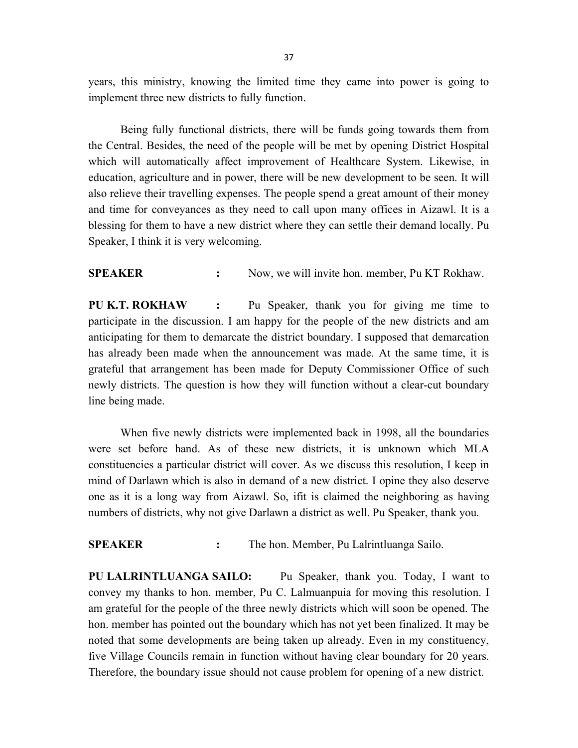years, this ministry, knowing the limited time they came into power is going to implement three new districts to fully function.

 Being fully functional districts, there will be funds going towards them from the Central. Besides, the need of the people will be met by opening District Hospital which will automatically affect improvement of Healthcare System. Likewise, in education, agriculture and in power, there will be new development to be seen. It will also relieve their travelling expenses. The people spend a great amount of their money and time for conveyances as they need to call upon many offices in Aizawl. It is a blessing for them to have a new district where they can settle their demand locally. Pu Speaker, I think it is very welcoming.

SPEAKER : Now, we will invite hon. member, Pu KT Rokhaw.

PU K.T. ROKHAW : Pu Speaker, thank you for giving me time to participate in the discussion. I am happy for the people of the new districts and am anticipating for them to demarcate the district boundary. I supposed that demarcation has already been made when the announcement was made. At the same time, it is grateful that arrangement has been made for Deputy Commissioner Office of such newly districts. The question is how they will function without a clear-cut boundary line being made.

When five newly districts were implemented back in 1998, all the boundaries were set before hand. As of these new districts, it is unknown which MLA constituencies a particular district will cover. As we discuss this resolution, I keep in mind of Darlawn which is also in demand of a new district. I opine they also deserve one as it is a long way from Aizawl. So, ifit is claimed the neighboring as having numbers of districts, why not give Darlawn a district as well. Pu Speaker, thank you.

SPEAKER : The hon. Member, Pu Lalrintluanga Sailo.

PU LALRINTLUANGA SAILO: Pu Speaker, thank you. Today, I want to convey my thanks to hon. member, Pu C. Lalmuanpuia for moving this resolution. I am grateful for the people of the three newly districts which will soon be opened. The hon. member has pointed out the boundary which has not yet been finalized. It may be noted that some developments are being taken up already. Even in my constituency, five Village Councils remain in function without having clear boundary for 20 years. Therefore, the boundary issue should not cause problem for opening of a new district.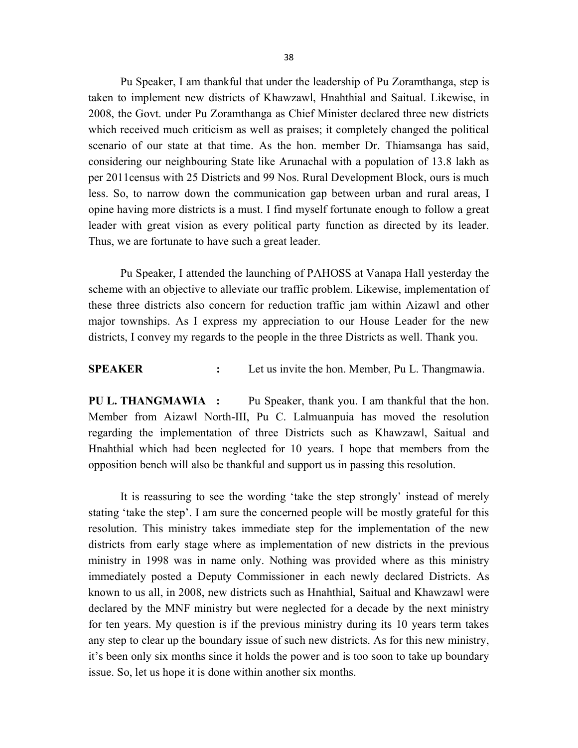Pu Speaker, I am thankful that under the leadership of Pu Zoramthanga, step is taken to implement new districts of Khawzawl, Hnahthial and Saitual. Likewise, in 2008, the Govt. under Pu Zoramthanga as Chief Minister declared three new districts which received much criticism as well as praises; it completely changed the political scenario of our state at that time. As the hon. member Dr. Thiamsanga has said, considering our neighbouring State like Arunachal with a population of 13.8 lakh as per 2011census with 25 Districts and 99 Nos. Rural Development Block, ours is much less. So, to narrow down the communication gap between urban and rural areas, I opine having more districts is a must. I find myself fortunate enough to follow a great leader with great vision as every political party function as directed by its leader. Thus, we are fortunate to have such a great leader.

Pu Speaker, I attended the launching of PAHOSS at Vanapa Hall yesterday the scheme with an objective to alleviate our traffic problem. Likewise, implementation of these three districts also concern for reduction traffic jam within Aizawl and other major townships. As I express my appreciation to our House Leader for the new districts, I convey my regards to the people in the three Districts as well. Thank you.

#### SPEAKER : Let us invite the hon. Member, Pu L. Thangmawia.

PU L. THANGMAWIA : Pu Speaker, thank you. I am thankful that the hon. Member from Aizawl North-III, Pu C. Lalmuanpuia has moved the resolution regarding the implementation of three Districts such as Khawzawl, Saitual and Hnahthial which had been neglected for 10 years. I hope that members from the opposition bench will also be thankful and support us in passing this resolution.

 It is reassuring to see the wording 'take the step strongly' instead of merely stating 'take the step'. I am sure the concerned people will be mostly grateful for this resolution. This ministry takes immediate step for the implementation of the new districts from early stage where as implementation of new districts in the previous ministry in 1998 was in name only. Nothing was provided where as this ministry immediately posted a Deputy Commissioner in each newly declared Districts. As known to us all, in 2008, new districts such as Hnahthial, Saitual and Khawzawl were declared by the MNF ministry but were neglected for a decade by the next ministry for ten years. My question is if the previous ministry during its 10 years term takes any step to clear up the boundary issue of such new districts. As for this new ministry, it's been only six months since it holds the power and is too soon to take up boundary issue. So, let us hope it is done within another six months.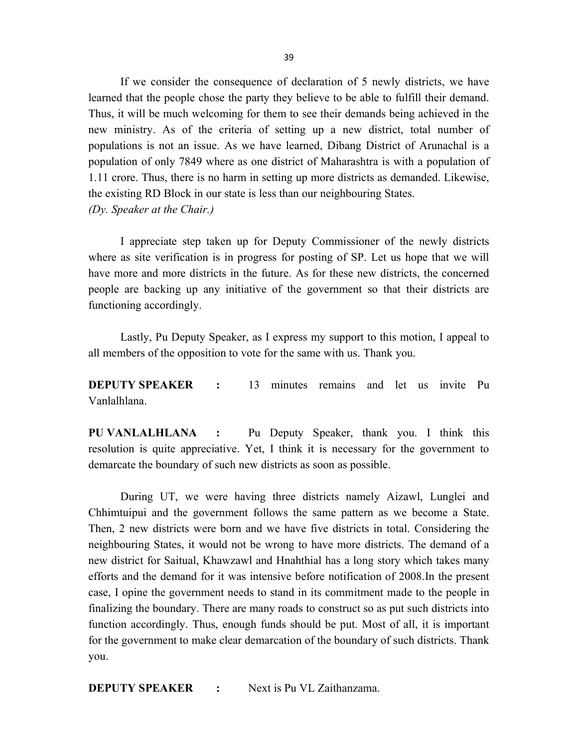If we consider the consequence of declaration of 5 newly districts, we have learned that the people chose the party they believe to be able to fulfill their demand. Thus, it will be much welcoming for them to see their demands being achieved in the new ministry. As of the criteria of setting up a new district, total number of populations is not an issue. As we have learned, Dibang District of Arunachal is a population of only 7849 where as one district of Maharashtra is with a population of 1.11 crore. Thus, there is no harm in setting up more districts as demanded. Likewise, the existing RD Block in our state is less than our neighbouring States. (Dy. Speaker at the Chair.)

 I appreciate step taken up for Deputy Commissioner of the newly districts where as site verification is in progress for posting of SP. Let us hope that we will have more and more districts in the future. As for these new districts, the concerned people are backing up any initiative of the government so that their districts are functioning accordingly.

 Lastly, Pu Deputy Speaker, as I express my support to this motion, I appeal to all members of the opposition to vote for the same with us. Thank you.

DEPUTY SPEAKER : 13 minutes remains and let us invite Pu Vanlalhlana.

PU VANLALHLANA : Pu Deputy Speaker, thank you. I think this resolution is quite appreciative. Yet, I think it is necessary for the government to demarcate the boundary of such new districts as soon as possible.

 During UT, we were having three districts namely Aizawl, Lunglei and Chhimtuipui and the government follows the same pattern as we become a State. Then, 2 new districts were born and we have five districts in total. Considering the neighbouring States, it would not be wrong to have more districts. The demand of a new district for Saitual, Khawzawl and Hnahthial has a long story which takes many efforts and the demand for it was intensive before notification of 2008.In the present case, I opine the government needs to stand in its commitment made to the people in finalizing the boundary. There are many roads to construct so as put such districts into function accordingly. Thus, enough funds should be put. Most of all, it is important for the government to make clear demarcation of the boundary of such districts. Thank you.

**DEPUTY SPEAKER :** Next is Pu VL Zaithanzama.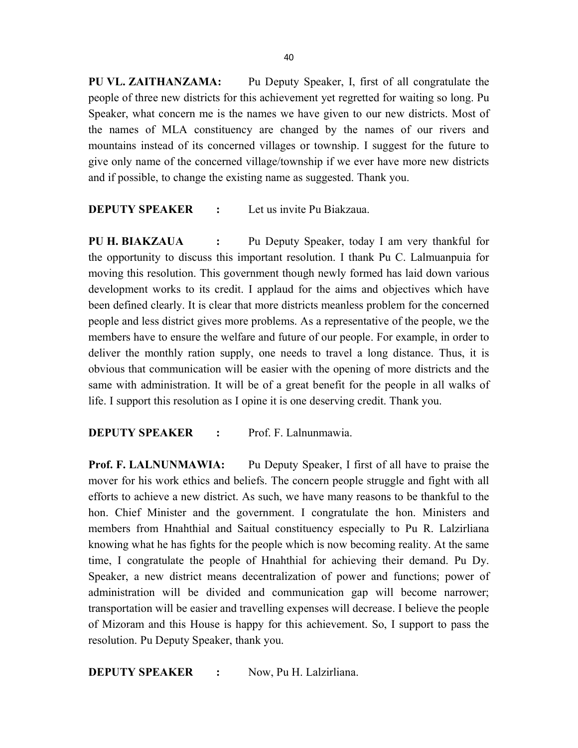PU VL. ZAITHANZAMA: Pu Deputy Speaker, I, first of all congratulate the people of three new districts for this achievement yet regretted for waiting so long. Pu Speaker, what concern me is the names we have given to our new districts. Most of the names of MLA constituency are changed by the names of our rivers and mountains instead of its concerned villages or township. I suggest for the future to give only name of the concerned village/township if we ever have more new districts and if possible, to change the existing name as suggested. Thank you.

## **DEPUTY SPEAKER** : Let us invite Pu Biakzaua.

PU H. BIAKZAUA : Pu Deputy Speaker, today I am very thankful for the opportunity to discuss this important resolution. I thank Pu C. Lalmuanpuia for moving this resolution. This government though newly formed has laid down various development works to its credit. I applaud for the aims and objectives which have been defined clearly. It is clear that more districts meanless problem for the concerned people and less district gives more problems. As a representative of the people, we the members have to ensure the welfare and future of our people. For example, in order to deliver the monthly ration supply, one needs to travel a long distance. Thus, it is obvious that communication will be easier with the opening of more districts and the same with administration. It will be of a great benefit for the people in all walks of life. I support this resolution as I opine it is one deserving credit. Thank you.

### DEPUTY SPEAKER : Prof. F. Lalnunmawia.

**Prof. F. LALNUNMAWIA:** Pu Deputy Speaker, I first of all have to praise the mover for his work ethics and beliefs. The concern people struggle and fight with all efforts to achieve a new district. As such, we have many reasons to be thankful to the hon. Chief Minister and the government. I congratulate the hon. Ministers and members from Hnahthial and Saitual constituency especially to Pu R. Lalzirliana knowing what he has fights for the people which is now becoming reality. At the same time, I congratulate the people of Hnahthial for achieving their demand. Pu Dy. Speaker, a new district means decentralization of power and functions; power of administration will be divided and communication gap will become narrower; transportation will be easier and travelling expenses will decrease. I believe the people of Mizoram and this House is happy for this achievement. So, I support to pass the resolution. Pu Deputy Speaker, thank you.

DEPUTY SPEAKER : Now, Pu H. Lalzirliana.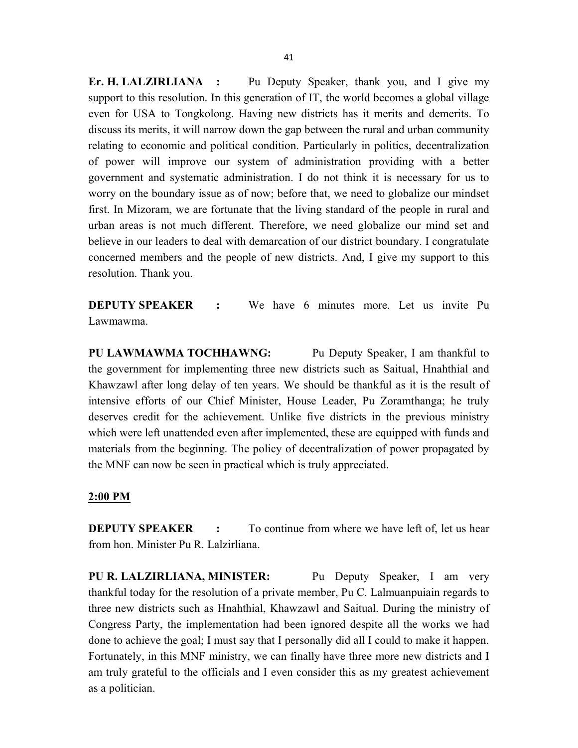Er. H. LALZIRLIANA : Pu Deputy Speaker, thank you, and I give my support to this resolution. In this generation of IT, the world becomes a global village even for USA to Tongkolong. Having new districts has it merits and demerits. To discuss its merits, it will narrow down the gap between the rural and urban community relating to economic and political condition. Particularly in politics, decentralization of power will improve our system of administration providing with a better government and systematic administration. I do not think it is necessary for us to worry on the boundary issue as of now; before that, we need to globalize our mindset first. In Mizoram, we are fortunate that the living standard of the people in rural and urban areas is not much different. Therefore, we need globalize our mind set and believe in our leaders to deal with demarcation of our district boundary. I congratulate concerned members and the people of new districts. And, I give my support to this resolution. Thank you.

DEPUTY SPEAKER : We have 6 minutes more. Let us invite Pu Lawmawma.

PU LAWMAWMA TOCHHAWNG: Pu Deputy Speaker, I am thankful to the government for implementing three new districts such as Saitual, Hnahthial and Khawzawl after long delay of ten years. We should be thankful as it is the result of intensive efforts of our Chief Minister, House Leader, Pu Zoramthanga; he truly deserves credit for the achievement. Unlike five districts in the previous ministry which were left unattended even after implemented, these are equipped with funds and materials from the beginning. The policy of decentralization of power propagated by the MNF can now be seen in practical which is truly appreciated.

#### 2:00 PM

**DEPUTY SPEAKER** : To continue from where we have left of, let us hear from hon. Minister Pu R. Lalzirliana.

PU R. LALZIRLIANA, MINISTER: Pu Deputy Speaker, I am very thankful today for the resolution of a private member, Pu C. Lalmuanpuiain regards to three new districts such as Hnahthial, Khawzawl and Saitual. During the ministry of Congress Party, the implementation had been ignored despite all the works we had done to achieve the goal; I must say that I personally did all I could to make it happen. Fortunately, in this MNF ministry, we can finally have three more new districts and I am truly grateful to the officials and I even consider this as my greatest achievement as a politician.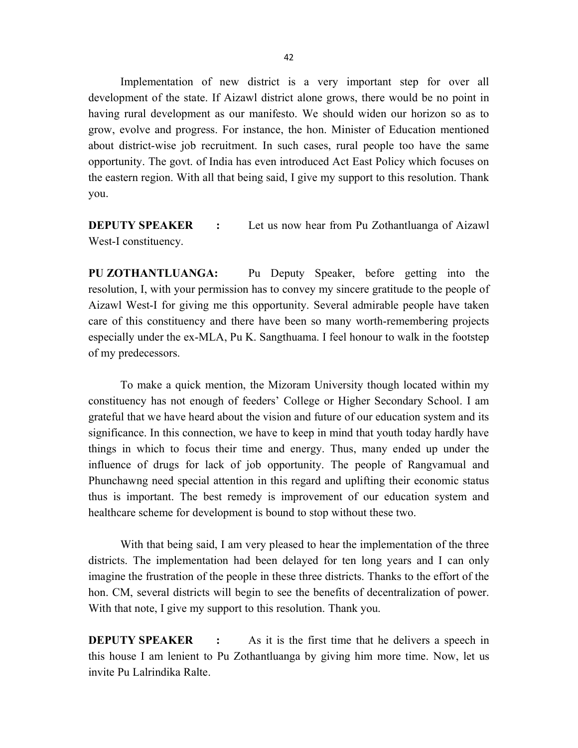Implementation of new district is a very important step for over all development of the state. If Aizawl district alone grows, there would be no point in having rural development as our manifesto. We should widen our horizon so as to grow, evolve and progress. For instance, the hon. Minister of Education mentioned about district-wise job recruitment. In such cases, rural people too have the same opportunity. The govt. of India has even introduced Act East Policy which focuses on the eastern region. With all that being said, I give my support to this resolution. Thank you.

**DEPUTY SPEAKER** : Let us now hear from Pu Zothantluanga of Aizawl West-I constituency.

PU ZOTHANTLUANGA: Pu Deputy Speaker, before getting into the resolution, I, with your permission has to convey my sincere gratitude to the people of Aizawl West-I for giving me this opportunity. Several admirable people have taken care of this constituency and there have been so many worth-remembering projects especially under the ex-MLA, Pu K. Sangthuama. I feel honour to walk in the footstep of my predecessors.

 To make a quick mention, the Mizoram University though located within my constituency has not enough of feeders' College or Higher Secondary School. I am grateful that we have heard about the vision and future of our education system and its significance. In this connection, we have to keep in mind that youth today hardly have things in which to focus their time and energy. Thus, many ended up under the influence of drugs for lack of job opportunity. The people of Rangvamual and Phunchawng need special attention in this regard and uplifting their economic status thus is important. The best remedy is improvement of our education system and healthcare scheme for development is bound to stop without these two.

 With that being said, I am very pleased to hear the implementation of the three districts. The implementation had been delayed for ten long years and I can only imagine the frustration of the people in these three districts. Thanks to the effort of the hon. CM, several districts will begin to see the benefits of decentralization of power. With that note, I give my support to this resolution. Thank you.

**DEPUTY SPEAKER** : As it is the first time that he delivers a speech in this house I am lenient to Pu Zothantluanga by giving him more time. Now, let us invite Pu Lalrindika Ralte.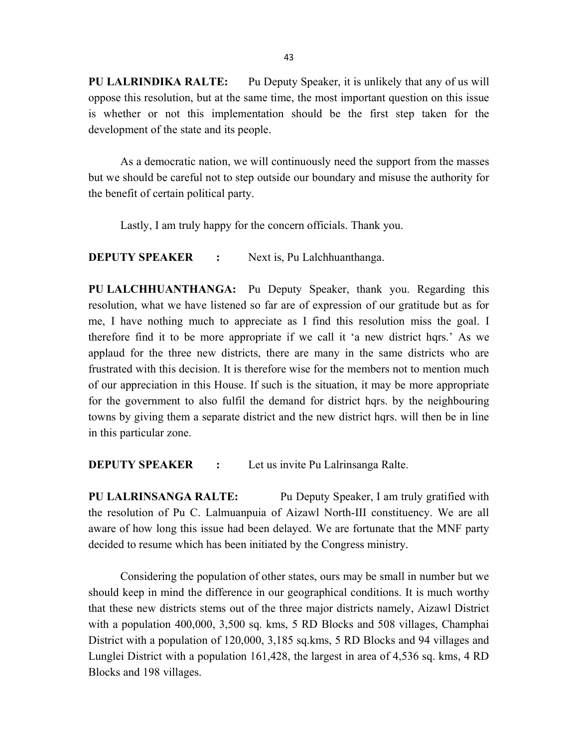PU LALRINDIKA RALTE: Pu Deputy Speaker, it is unlikely that any of us will oppose this resolution, but at the same time, the most important question on this issue is whether or not this implementation should be the first step taken for the development of the state and its people.

As a democratic nation, we will continuously need the support from the masses but we should be careful not to step outside our boundary and misuse the authority for the benefit of certain political party.

Lastly, I am truly happy for the concern officials. Thank you.

**DEPUTY SPEAKER :** Next is, Pu Lalchhuanthanga.

PU LALCHHUANTHANGA: Pu Deputy Speaker, thank you. Regarding this resolution, what we have listened so far are of expression of our gratitude but as for me, I have nothing much to appreciate as I find this resolution miss the goal. I therefore find it to be more appropriate if we call it 'a new district hqrs.' As we applaud for the three new districts, there are many in the same districts who are frustrated with this decision. It is therefore wise for the members not to mention much of our appreciation in this House. If such is the situation, it may be more appropriate for the government to also fulfil the demand for district hqrs. by the neighbouring towns by giving them a separate district and the new district hqrs. will then be in line in this particular zone.

**DEPUTY SPEAKER** : Let us invite Pu Lalrinsanga Ralte.

PU LALRINSANGA RALTE: Pu Deputy Speaker, I am truly gratified with the resolution of Pu C. Lalmuanpuia of Aizawl North-III constituency. We are all aware of how long this issue had been delayed. We are fortunate that the MNF party decided to resume which has been initiated by the Congress ministry.

 Considering the population of other states, ours may be small in number but we should keep in mind the difference in our geographical conditions. It is much worthy that these new districts stems out of the three major districts namely, Aizawl District with a population 400,000, 3,500 sq. kms, 5 RD Blocks and 508 villages, Champhai District with a population of 120,000, 3,185 sq.kms, 5 RD Blocks and 94 villages and Lunglei District with a population 161,428, the largest in area of 4,536 sq. kms, 4 RD Blocks and 198 villages.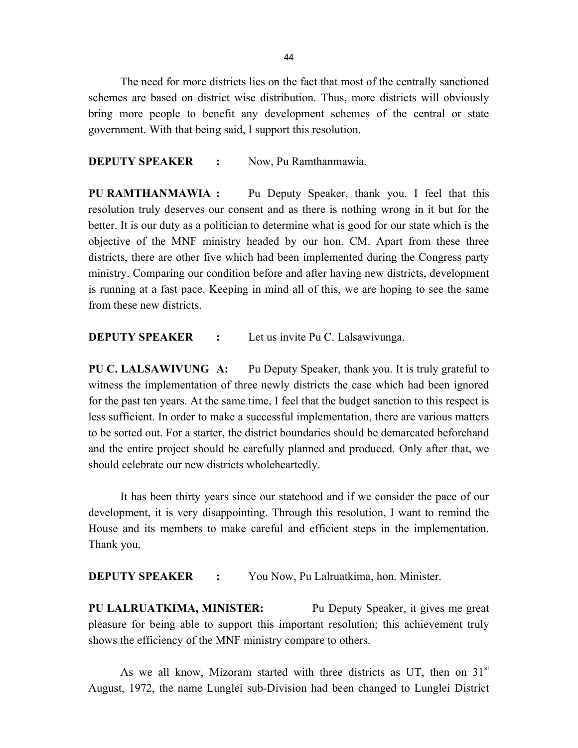44

 The need for more districts lies on the fact that most of the centrally sanctioned schemes are based on district wise distribution. Thus, more districts will obviously bring more people to benefit any development schemes of the central or state government. With that being said, I support this resolution.

#### DEPUTY SPEAKER : Now, Pu Ramthanmawia.

PU RAMTHANMAWIA : Pu Deputy Speaker, thank you. I feel that this resolution truly deserves our consent and as there is nothing wrong in it but for the better. It is our duty as a politician to determine what is good for our state which is the objective of the MNF ministry headed by our hon. CM. Apart from these three districts, there are other five which had been implemented during the Congress party ministry. Comparing our condition before and after having new districts, development is running at a fast pace. Keeping in mind all of this, we are hoping to see the same from these new districts.

**DEPUTY SPEAKER** : Let us invite Pu C. Lalsawivunga.

PU C. LALSAWIVUNG A: Pu Deputy Speaker, thank you. It is truly grateful to witness the implementation of three newly districts the case which had been ignored for the past ten years. At the same time, I feel that the budget sanction to this respect is less sufficient. In order to make a successful implementation, there are various matters to be sorted out. For a starter, the district boundaries should be demarcated beforehand and the entire project should be carefully planned and produced. Only after that, we should celebrate our new districts wholeheartedly.

 It has been thirty years since our statehood and if we consider the pace of our development, it is very disappointing. Through this resolution, I want to remind the House and its members to make careful and efficient steps in the implementation. Thank you.

**DEPUTY SPEAKER :** You Now, Pu Lalruatkima, hon. Minister.

PU LALRUATKIMA, MINISTER: Pu Deputy Speaker, it gives me great pleasure for being able to support this important resolution; this achievement truly shows the efficiency of the MNF ministry compare to others.

As we all know, Mizoram started with three districts as UT, then on  $31<sup>st</sup>$ August, 1972, the name Lunglei sub-Division had been changed to Lunglei District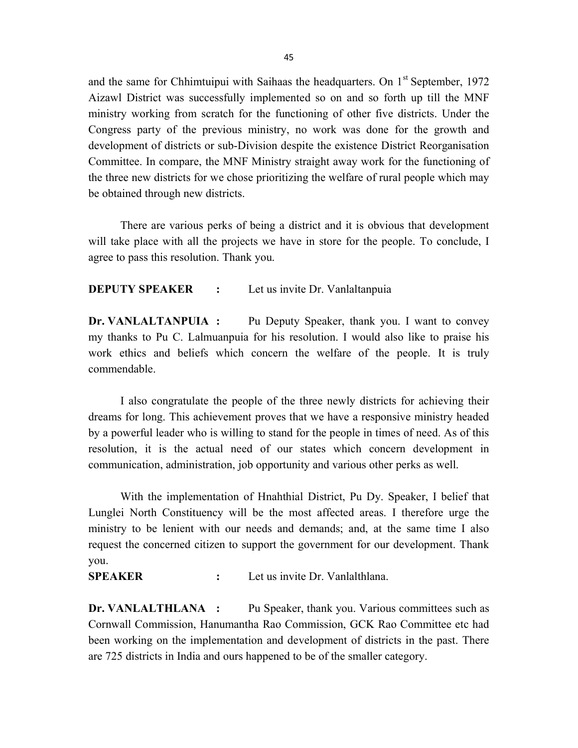and the same for Chhimtuipui with Saihaas the headquarters. On  $1<sup>st</sup>$  September, 1972 Aizawl District was successfully implemented so on and so forth up till the MNF ministry working from scratch for the functioning of other five districts. Under the Congress party of the previous ministry, no work was done for the growth and development of districts or sub-Division despite the existence District Reorganisation Committee. In compare, the MNF Ministry straight away work for the functioning of the three new districts for we chose prioritizing the welfare of rural people which may be obtained through new districts.

There are various perks of being a district and it is obvious that development will take place with all the projects we have in store for the people. To conclude, I agree to pass this resolution. Thank you.

#### **DEPUTY SPEAKER** : Let us invite Dr. Vanlaltanpuia

Dr. VANLALTANPUIA : Pu Deputy Speaker, thank you. I want to convey my thanks to Pu C. Lalmuanpuia for his resolution. I would also like to praise his work ethics and beliefs which concern the welfare of the people. It is truly commendable.

 I also congratulate the people of the three newly districts for achieving their dreams for long. This achievement proves that we have a responsive ministry headed by a powerful leader who is willing to stand for the people in times of need. As of this resolution, it is the actual need of our states which concern development in communication, administration, job opportunity and various other perks as well.

 With the implementation of Hnahthial District, Pu Dy. Speaker, I belief that Lunglei North Constituency will be the most affected areas. I therefore urge the ministry to be lenient with our needs and demands; and, at the same time I also request the concerned citizen to support the government for our development. Thank you.

SPEAKER : Let us invite Dr. Vanlalthlana.

Dr. VANLALTHLANA : Pu Speaker, thank you. Various committees such as Cornwall Commission, Hanumantha Rao Commission, GCK Rao Committee etc had been working on the implementation and development of districts in the past. There are 725 districts in India and ours happened to be of the smaller category.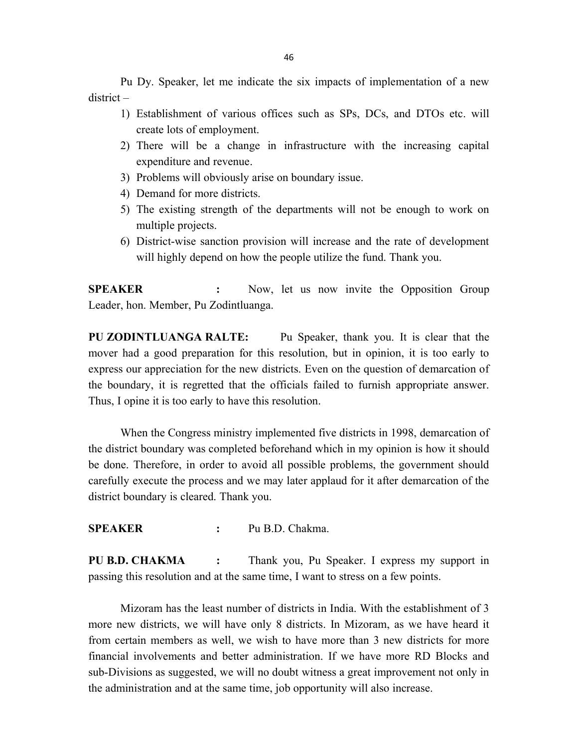Pu Dy. Speaker, let me indicate the six impacts of implementation of a new district –

- 1) Establishment of various offices such as SPs, DCs, and DTOs etc. will create lots of employment.
- 2) There will be a change in infrastructure with the increasing capital expenditure and revenue.
- 3) Problems will obviously arise on boundary issue.
- 4) Demand for more districts.
- 5) The existing strength of the departments will not be enough to work on multiple projects.
- 6) District-wise sanction provision will increase and the rate of development will highly depend on how the people utilize the fund. Thank you.

SPEAKER : Now, let us now invite the Opposition Group Leader, hon. Member, Pu Zodintluanga.

PU ZODINTLUANGA RALTE: Pu Speaker, thank you. It is clear that the mover had a good preparation for this resolution, but in opinion, it is too early to express our appreciation for the new districts. Even on the question of demarcation of the boundary, it is regretted that the officials failed to furnish appropriate answer. Thus, I opine it is too early to have this resolution.

 When the Congress ministry implemented five districts in 1998, demarcation of the district boundary was completed beforehand which in my opinion is how it should be done. Therefore, in order to avoid all possible problems, the government should carefully execute the process and we may later applaud for it after demarcation of the district boundary is cleared. Thank you.

SPEAKER : Pu B.D. Chakma.

PU B.D. CHAKMA : Thank you, Pu Speaker. I express my support in passing this resolution and at the same time, I want to stress on a few points.

 Mizoram has the least number of districts in India. With the establishment of 3 more new districts, we will have only 8 districts. In Mizoram, as we have heard it from certain members as well, we wish to have more than 3 new districts for more financial involvements and better administration. If we have more RD Blocks and sub-Divisions as suggested, we will no doubt witness a great improvement not only in the administration and at the same time, job opportunity will also increase.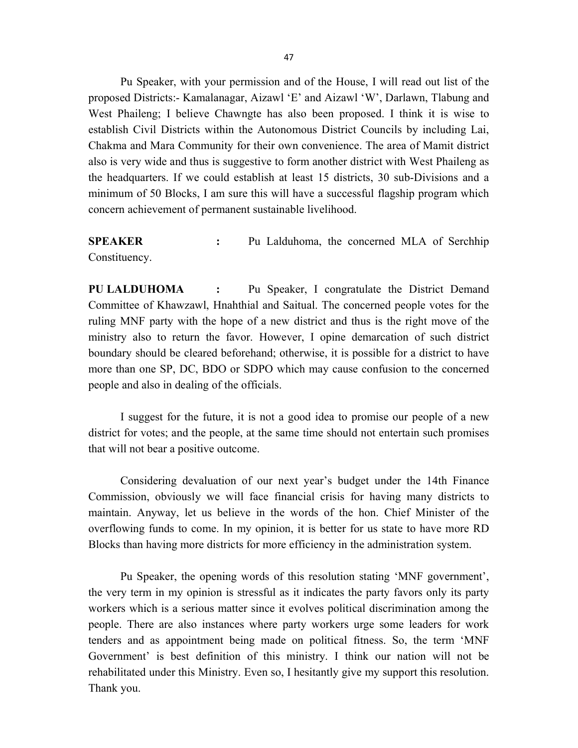Pu Speaker, with your permission and of the House, I will read out list of the proposed Districts:- Kamalanagar, Aizawl 'E' and Aizawl 'W', Darlawn, Tlabung and West Phaileng; I believe Chawngte has also been proposed. I think it is wise to establish Civil Districts within the Autonomous District Councils by including Lai, Chakma and Mara Community for their own convenience. The area of Mamit district also is very wide and thus is suggestive to form another district with West Phaileng as the headquarters. If we could establish at least 15 districts, 30 sub-Divisions and a minimum of 50 Blocks, I am sure this will have a successful flagship program which concern achievement of permanent sustainable livelihood.

SPEAKER : Pu Lalduhoma, the concerned MLA of Serchhip Constituency.

PU LALDUHOMA : Pu Speaker, I congratulate the District Demand Committee of Khawzawl, Hnahthial and Saitual. The concerned people votes for the ruling MNF party with the hope of a new district and thus is the right move of the ministry also to return the favor. However, I opine demarcation of such district boundary should be cleared beforehand; otherwise, it is possible for a district to have more than one SP, DC, BDO or SDPO which may cause confusion to the concerned people and also in dealing of the officials.

 I suggest for the future, it is not a good idea to promise our people of a new district for votes; and the people, at the same time should not entertain such promises that will not bear a positive outcome.

Considering devaluation of our next year's budget under the 14th Finance Commission, obviously we will face financial crisis for having many districts to maintain. Anyway, let us believe in the words of the hon. Chief Minister of the overflowing funds to come. In my opinion, it is better for us state to have more RD Blocks than having more districts for more efficiency in the administration system.

Pu Speaker, the opening words of this resolution stating 'MNF government', the very term in my opinion is stressful as it indicates the party favors only its party workers which is a serious matter since it evolves political discrimination among the people. There are also instances where party workers urge some leaders for work tenders and as appointment being made on political fitness. So, the term 'MNF Government' is best definition of this ministry. I think our nation will not be rehabilitated under this Ministry. Even so, I hesitantly give my support this resolution. Thank you.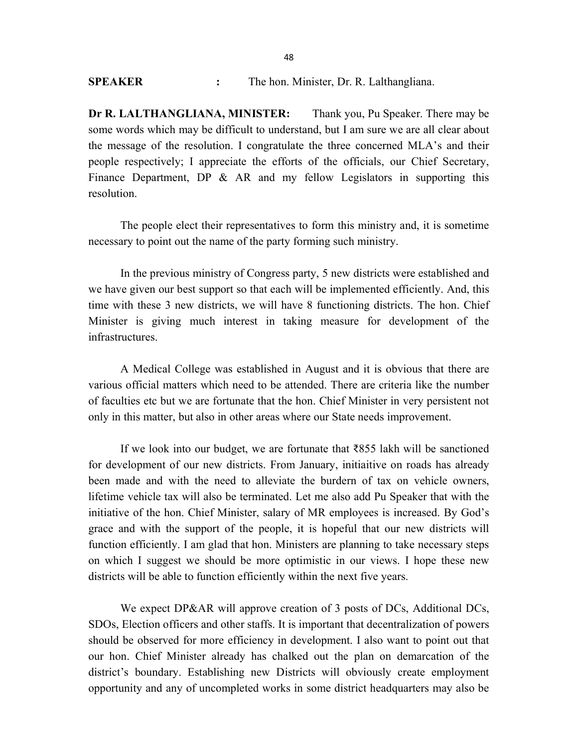Dr R. LALTHANGLIANA, MINISTER: Thank you, Pu Speaker. There may be some words which may be difficult to understand, but I am sure we are all clear about the message of the resolution. I congratulate the three concerned MLA's and their people respectively; I appreciate the efforts of the officials, our Chief Secretary, Finance Department, DP & AR and my fellow Legislators in supporting this resolution.

 The people elect their representatives to form this ministry and, it is sometime necessary to point out the name of the party forming such ministry.

 In the previous ministry of Congress party, 5 new districts were established and we have given our best support so that each will be implemented efficiently. And, this time with these 3 new districts, we will have 8 functioning districts. The hon. Chief Minister is giving much interest in taking measure for development of the infrastructures.

A Medical College was established in August and it is obvious that there are various official matters which need to be attended. There are criteria like the number of faculties etc but we are fortunate that the hon. Chief Minister in very persistent not only in this matter, but also in other areas where our State needs improvement.

If we look into our budget, we are fortunate that  $\bar{x}$ 855 lakh will be sanctioned for development of our new districts. From January, initiaitive on roads has already been made and with the need to alleviate the burdern of tax on vehicle owners, lifetime vehicle tax will also be terminated. Let me also add Pu Speaker that with the initiative of the hon. Chief Minister, salary of MR employees is increased. By God's grace and with the support of the people, it is hopeful that our new districts will function efficiently. I am glad that hon. Ministers are planning to take necessary steps on which I suggest we should be more optimistic in our views. I hope these new districts will be able to function efficiently within the next five years.

We expect DP&AR will approve creation of 3 posts of DCs, Additional DCs, SDOs, Election officers and other staffs. It is important that decentralization of powers should be observed for more efficiency in development. I also want to point out that our hon. Chief Minister already has chalked out the plan on demarcation of the district's boundary. Establishing new Districts will obviously create employment opportunity and any of uncompleted works in some district headquarters may also be